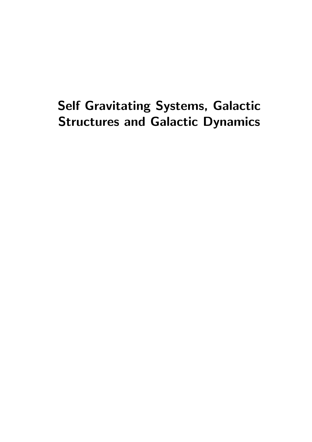# Self Gravitating Systems, Galactic Structures and Galactic Dynamics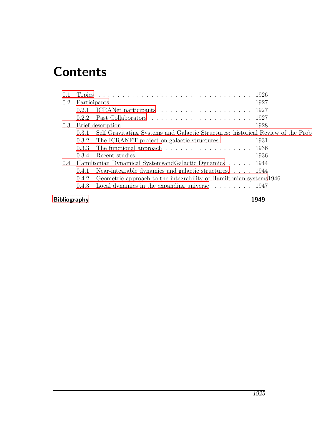# **Contents**

| 0.1                 |                                                                                          |  |
|---------------------|------------------------------------------------------------------------------------------|--|
| $0.2\,$             |                                                                                          |  |
|                     | 0.2.1                                                                                    |  |
|                     | 0.2.2                                                                                    |  |
|                     |                                                                                          |  |
|                     | Self Gravitating Systems and Galactic Structures: historical Review of the Prob<br>0.3.1 |  |
|                     | The ICRANET project on galactic structures. $\ldots$ 1931<br>0.3.2                       |  |
|                     | The functional approach $\ldots \ldots \ldots \ldots \ldots \ldots \ldots 1936$<br>0.3.3 |  |
|                     | 0.3.4                                                                                    |  |
| $0.4^{\circ}$       | Hamiltonian Dynamical SystemsandGalactic Dynamics 1944                                   |  |
|                     | Near-integrable dynamics and galactic structures. 1944<br>0.4.1                          |  |
|                     | Geometric approach to the integrability of Hamiltonian systems1946<br>0.4.2              |  |
|                     | Local dynamics in the expanding universe $\dots \dots \dots \dots$ 1947<br>0.4.3         |  |
| <b>Bibliography</b> |                                                                                          |  |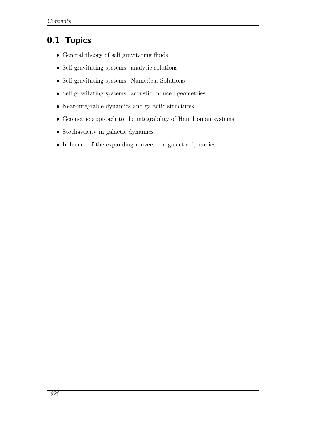## <span id="page-3-0"></span>0.1 Topics

- General theory of self gravitating fluids
- Self gravitating systems: analytic solutions
- Self gravitating systems: Numerical Solutions
- Self gravitating systems: acoustic induced geometries
- Near-integrable dynamics and galactic structures
- Geometric approach to the integrability of Hamiltonian systems
- Stochasticity in galactic dynamics
- Influence of the expanding universe on galactic dynamics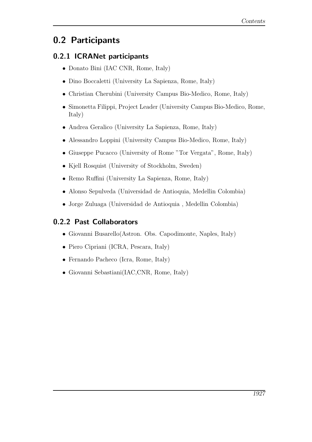### <span id="page-4-0"></span>0.2 Participants

#### <span id="page-4-1"></span>0.2.1 ICRANet participants

- Donato Bini (IAC CNR, Rome, Italy)
- Dino Boccaletti (University La Sapienza, Rome, Italy)
- Christian Cherubini (University Campus Bio-Medico, Rome, Italy)
- Simonetta Filippi, Project Leader (University Campus Bio-Medico, Rome, Italy)
- Andrea Geralico (University La Sapienza, Rome, Italy)
- Alessandro Loppini (University Campus Bio-Medico, Rome, Italy)
- Giuseppe Pucacco (University of Rome "Tor Vergata", Rome, Italy)
- Kjell Rosquist (University of Stockholm, Sweden)
- Remo Ruffini (University La Sapienza, Rome, Italy)
- Alonso Sepulveda (Universidad de Antioquia, Medellin Colombia)
- Jorge Zuluaga (Universidad de Antioquia , Medellin Colombia)

#### <span id="page-4-2"></span>0.2.2 Past Collaborators

- Giovanni Busarello(Astron. Obs. Capodimonte, Naples, Italy)
- Piero Cipriani (ICRA, Pescara, Italy)
- Fernando Pacheco (Icra, Rome, Italy)
- Giovanni Sebastiani(IAC,CNR, Rome, Italy)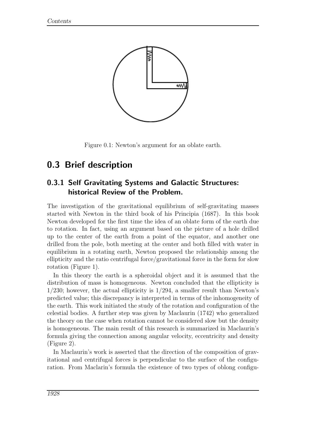

Figure 0.1: Newton's argument for an oblate earth.

### <span id="page-5-0"></span>0.3 Brief description

#### <span id="page-5-1"></span>0.3.1 Self Gravitating Systems and Galactic Structures: historical Review of the Problem.

The investigation of the gravitational equilibrium of self-gravitating masses started with Newton in the third book of his Principia (1687). In this book Newton developed for the first time the idea of an oblate form of the earth due to rotation. In fact, using an argument based on the picture of a hole drilled up to the center of the earth from a point of the equator, and another one drilled from the pole, both meeting at the center and both filled with water in equilibrium in a rotating earth, Newton proposed the relationship among the ellipticity and the ratio centrifugal force/gravitational force in the form for slow rotation (Figure 1).

In this theory the earth is a spheroidal object and it is assumed that the distribution of mass is homogeneous. Newton concluded that the ellipticity is  $1/230$ ; however, the actual ellipticity is  $1/294$ , a smaller result than Newton's predicted value; this discrepancy is interpreted in terms of the inhomogeneity of the earth. This work initiated the study of the rotation and configuration of the celestial bodies. A further step was given by Maclaurin (1742) who generalized the theory on the case when rotation cannot be considered slow but the density is homogeneous. The main result of this research is summarized in Maclaurin's formula giving the connection among angular velocity, eccentricity and density (Figure 2).

In Maclaurin's work is asserted that the direction of the composition of gravitational and centrifugal forces is perpendicular to the surface of the configuration. From Maclarin's formula the existence of two types of oblong configu-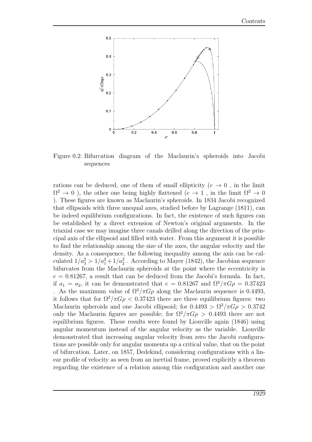

Figure 0.2: Bifurcation diagram of the Maclaurin's spheroids into Jacobi sequences

rations can be deduced, one of them of small ellipticity ( $e \rightarrow 0$ , in the limit  $\Omega^2 \to 0$ ), the other one being highly flattened  $(e \to 1$ , in the limit  $\Omega^2 \to 0$ ). These figures are known as Maclaurin's spheroids. In 1834 Jacobi recognized that ellipsoids with three unequal axes, studied before by Lagrange (1811), can be indeed equilibrium configurations. In fact, the existence of such figures can be established by a direct extension of Newton's original arguments. In the triaxial case we may imagine three canals drilled along the direction of the principal axis of the ellipsoid and filled with water. From this argument it is possible to find the relationship among the size of the axes, the angular velocity and the density. As a consequence, the following inequality among the axis can be calculated  $1/a_3^2 > 1/a_1^2 + 1/a_2^2$ . According to Mayer (1842), the Jacobian sequence bifurcates from the Maclaurin spheroids at the point where the eccentricity is  $e = 0.81267$ , a result that can be deduced from the Jacobi's formula. In fact, if  $a_1 = a_2$ , it can be demonstrated that  $e = 0.81267$  and  $\Omega^2/\pi G \rho = 0.37423$ . As the maximum value of  $\Omega^2/\pi G\rho$  along the Maclaurin sequence is 0.4493, it follows that for  $\Omega^2/\pi G \rho < 0.37423$  there are three equilibrium figures: two Maclaurin spheroids and one Jacobi ellipsoid; for  $0.4493 > \Omega^2/\pi G \rho > 0.3742$ only the Maclaurin figures are possible; for  $\Omega^2/\pi G \rho > 0.4493$  there are not equilibrium figures. These results were found by Liouville again (1846) using angular momentum instead of the angular velocity as the variable. Liouville demonstrated that increasing angular velocity from zero the Jacobi configurations are possible only for angular momenta up a critical value, that on the point of bifurcation. Later, on 1857, Dedekind, considering configurations with a linear profile of velocity as seen from an inertial frame, proved explicitly a theorem regarding the existence of a relation among this configuration and another one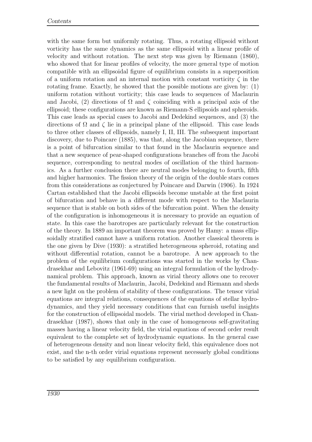with the same form but uniformly rotating. Thus, a rotating ellipsoid without vorticity has the same dynamics as the same ellipsoid with a linear profile of velocity and without rotation. The next step was given by Riemann (1860), who showed that for linear profiles of velocity, the more general type of motion compatible with an ellipsoidal figure of equilibrium consists in a superposition of a uniform rotation and an internal motion with constant vorticity  $\zeta$  in the rotating frame. Exactly, he showed that the possible motions are given by: (1) uniform rotation without vorticity; this case leads to sequences of Maclaurin and Jacobi, (2) directions of  $\Omega$  and  $\zeta$  coinciding with a principal axis of the ellipsoid; these configurations are known as Riemann-S ellipsoids and spheroids. This case leads as special cases to Jacobi and Dedekind sequences, and (3) the directions of  $\Omega$  and  $\zeta$  lie in a principal plane of the ellipsoid. This case leads to three other classes of ellipsoids, namely I, II, III. The subsequent important discovery, due to Poincare (1885), was that, along the Jacobian sequence, there is a point of bifurcation similar to that found in the Maclaurin sequence and that a new sequence of pear-shaped configurations branches off from the Jacobi sequence, corresponding to neutral modes of oscillation of the third harmonics. As a further conclusion there are neutral modes belonging to fourth, fifth and higher harmonics. The fission theory of the origin of the double stars comes from this considerations as conjectured by Poincare and Darwin (1906). In 1924 Cartan established that the Jacobi ellipsoids become unstable at the first point of bifurcation and behave in a different mode with respect to the Maclaurin sequence that is stable on both sides of the bifurcation point. When the density of the configuration is inhomogeneous it is necessary to provide an equation of state. In this case the barotropes are particularly relevant for the construction of the theory. In 1889 an important theorem was proved by Hamy: a mass ellipsoidally stratified cannot have a uniform rotation. Another classical theorem is the one given by Dive (1930): a stratified heterogeneous spheroid, rotating and without differential rotation, cannot be a barotrope. A new approach to the problem of the equilibrium configurations was started in the works by Chandrasekhar and Lebovitz (1961-69) using an integral formulation of the hydrodynamical problem. This approach, known as virial theory allows one to recover the fundamental results of Maclaurin, Jacobi, Dedekind and Riemann and sheds a new light on the problem of stability of these configurations. The tensor virial equations are integral relations, consequences of the equations of stellar hydrodynamics, and they yield necessary conditions that can furnish useful insights for the construction of ellipsoidal models. The virial method developed in Chandrasekhar (1987), shows that only in the case of homogeneous self-gravitating masses having a linear velocity field, the virial equations of second order result equivalent to the complete set of hydrodynamic equations. In the general case of heterogeneous density and non linear velocity field, this equivalence does not exist, and the n-th order virial equations represent necessarly global conditions to be satisfied by any equilibrium configuration.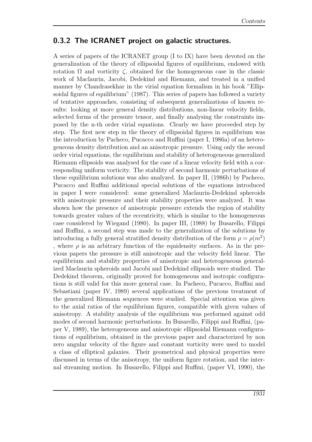#### <span id="page-8-0"></span>0.3.2 The ICRANET project on galactic structures.

A series of papers of the ICRANET group (I to IX) have been devoted on the generalization of the theory of ellipsoidal figures of equilibrium, endowed with rotation  $\Omega$  and vorticity  $\zeta$ , obtained for the homogeneous case in the classic work of Maclaurin, Jacobi, Dedekind and Riemann, and treated in a unified manner by Chandrasekhar in the virial equation formalism in his book "Ellipsoidal figures of equilibrium" (1987). This series of papers has followed a variety of tentative approaches, consisting of subsequent generalizations of known results: looking at more general density distributions, non-linear velocity fields, selected forms of the pressure tensor, and finally analysing the constraints imposed by the n-th order virial equations. Clearly we have proceeded step by step. The first new step in the theory of ellipsoidal figures in equilibrium was the introduction by Pacheco, Pucacco and Ruffini (paper I, 1986a) of an heterogeneous density distribution and an anisotropic pressure. Using only the second order virial equations, the equilibrium and stability of heterogeneous generalized Riemann ellipsoids was analysed for the case of a linear velocity field with a corresponding uniform vorticity. The stability of second harmonic perturbations of these equilibrium solutions was also analyzed. In paper II, (1986b) by Pacheco, Pucacco and Ruffini additional special solutions of the equations introduced in paper I were considered: some generalized Maclaurin-Dedekind spheroids with anisotropic pressure and their stability properties were analyzed. It was shown how the presence of anisotropic pressure extends the region of stability towards greater values of the eccentricity, which is similar to the homogeneous case considered by Wiegand (1980). In paper III, (1988) by Busarello, Filippi and Ruffini, a second step was made to the generalization of the solutions by introducing a fully general stratified density distribution of the form  $\rho = \rho(m^2)$ , where  $\rho$  is an arbitrary function of the equidensity surfaces. As in the previous papers the pressure is still anisotropic and the velocity field linear. The equilibrium and stability properties of anisotropic and heterogeneous generalized Maclaurin spheroids and Jacobi and Dedekind ellipsoids were studied. The Dedekind theorem, originally proved for homogeneous and isotropic configurations is still valid for this more general case. In Pacheco, Pucacco, Ruffini and Sebastiani (paper IV, 1989) several applications of the previous treatment of the generalized Riemann sequences were studied. Special attention was given to the axial ratios of the equilibrium figures, compatible with given values of anisotropy. A stability analysis of the equilibrium was performed against odd modes of second harmonic perturbations. In Busarello, Filippi and Ruffini, (paper V, 1989), the heterogeneous and anisotropic ellipsoidal Riemann configurations of equilibrium, obtained in the previous paper and characterized by non zero angular velocity of the figure and constant vorticity were used to model a class of elliptical galaxies. Their geometrical and physical properties were discussed in terms of the anisotropy, the uniform figure rotation, and the internal streaming motion. In Busarello, Filippi and Ruffini, (paper VI, 1990), the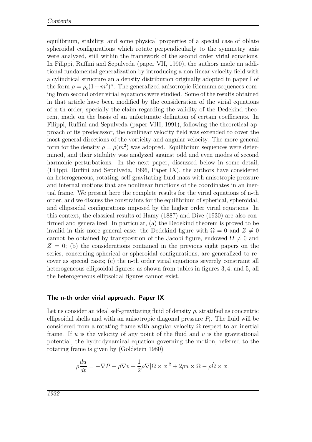equilibrium, stability, and some physical properties of a special case of oblate spheroidal configurations which rotate perpendicularly to the symmetry axis were analyzed, still within the framework of the second order virial equations. In Filippi, Ruffini and Sepulveda (paper VII, 1990), the authors made an additional fundamental generalization by introducing a non linear velocity field with a cylindrical structure an a density distribution originally adopted in paper I of the form  $\rho = \rho_c (1 - m^2)^n$ . The generalized anisotropic Riemann sequences coming from second order virial equations were studied. Some of the results obtained in that article have been modified by the consideration of the virial equations of n-th order, specially the claim regarding the validity of the Dedekind theorem, made on the basis of an unfortunate definition of certain coefficients. In Filippi, Ruffini and Sepulveda (paper VIII, 1991), following the theoretical approach of its predecessor, the nonlinear velocity field was extended to cover the most general directions of the vorticity and angular velocity. The more general form for the density  $\rho = \rho(m^2)$  was adopted. Equilibrium sequences were determined, and their stability was analyzed against odd and even modes of second harmonic perturbations. In the next paper, discussed below in some detail, (Filippi, Ruffini and Sepulveda, 1996, Paper IX), the authors have considered an heterogeneous, rotating, self-gravitating fluid mass with anisotropic pressure and internal motions that are nonlinear functions of the coordinates in an inertial frame. We present here the complete results for the virial equations of n-th order, and we discuss the constraints for the equilibrium of spherical, spheroidal, and ellipsoidal configurations imposed by the higher order virial equations. In this context, the classical results of Hamy (1887) and Dive (1930) are also confirmed and generalized. In particular, (a) the Dedekind theorem is proved to be invalid in this more general case: the Dedekind figure with  $\Omega = 0$  and  $Z \neq 0$ cannot be obtained by transposition of the Jacobi figure, endowed  $\Omega \neq 0$  and  $Z = 0$ ; (b) the considerations contained in the previous eight papers on the series, concerning spherical or spheroidal configurations, are generalized to recover as special cases; (c) the n-th order virial equations severely constraint all heterogeneous ellipsoidal figures: as shown from tables in figures 3, 4, and 5, all the heterogeneous ellipsoidal figures cannot exist.

#### The n-th order virial approach. Paper IX

Let us consider an ideal self-gravitating fluid of density  $\rho$ , stratified as concentric ellipsoidal shells and with an anisotropic diagonal pressure  $P_i$ . The fluid will be considered from a rotating frame with angular velocity  $\Omega$  respect to an inertial frame. If u is the velocity of any point of the fluid and  $v$  is the gravitational potential, the hydrodynamical equation governing the motion, referred to the rotating frame is given by (Goldstein 1980)

$$
\rho \frac{du}{dt} = -\nabla P + \rho \nabla v + \frac{1}{2}\rho \nabla |\Omega \times x|^2 + 2\rho u \times \Omega - \rho \dot{\Omega} \times x.
$$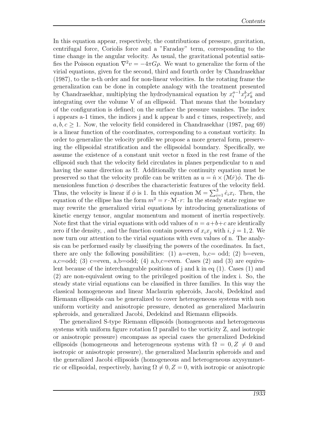In this equation appear, respectively, the contributions of pressure, gravitation, centrifugal force, Coriolis force and a "Faraday" term, corresponding to the time change in the angular velocity. As usual, the gravitational potential satisfies the Poisson equation  $\nabla^2 v = -4\pi G\rho$ . We want to generalize the form of the virial equations, given for the second, third and fourth order by Chandrasekhar (1987), to the n-th order and for non-linear velocities. In the rotating frame the generalization can be done in complete analogy with the treatment presented by Chandrasekhar, multiplying the hydrodynamical equation by  $x_i^{a-1} x_j^b x_k^c$  and integrating over the volume V of an ellipsoid. That means that the boundary of the configuration is defined; on the surface the pressure vanishes. The index i appears a-1 times, the indices j and k appear b and c times, respectively, and  $a, b, c \geq 1$ . Now, the velocity field considered in Chandrasekhar (1987, pag 69) is a linear function of the coordinates, corresponding to a constant vorticity. In order to generalize the velocity profile we propose a more general form, preserving the ellipsoidal stratification and the ellipsoidal boundary. Specifically, we assume the existence of a constant unit vector n fixed in the rest frame of the ellipsoid such that the velocity field circulates in planes perpendicular to n and having the same direction as  $\Omega$ . Additionally the continuity equation must be preserved so that the velocity profile can be written as  $u = \hat{n} \times (\mathcal{M}r)\phi$ . The dimensionless function  $\phi$  describes the characteristic features of the velocity field. Thus, the velocity is linear if  $\phi$  is 1. In this equation  $\mathcal{M} = \sum_{i=1}^{3} \hat{e}_i x_i$ . Then, the equation of the ellipse has the form  $m^2 = r \cdot \hat{M} \cdot r$ : In the steady state regime we may rewrite the generalized virial equations by introducing generalizations of kinetic energy tensor, angular momentum and moment of inertia respectively. Note first that the virial equations with odd values of  $n = a+b+c$  are identically zero if the density, , and the function contain powers of  $x_i x_j$  with  $i, j = 1, 2$ . We now turn our attention to the virial equations with even values of n. The analysis can be performed easily by classifying the powers of the coordinates. In fact, there are only the following possibilities: (1) a=even, b,c= odd; (2) b=even, a,c=odd; (3) c=even, a,b=odd; (4) a,b,c=even. Cases (2) and (3) are equivalent because of the interchangeable positions of j and k in eq (1). Cases (1) and (2) are non-equivalent owing to the privileged position of the index i. So, the steady state virial equations can be classified in three families. In this way the classical homogeneous and linear Maclaurin spheroids, Jacobi, Dedekind and Riemann ellipsoids can be generalized to cover heterogeneous systems with non uniform vorticity and anisotropic pressure, denoted as generalized Maclaurin spheroids, and generalized Jacobi, Dedekind and Riemann ellipsoids.

The generalized S-type Riemann ellipsoids (homogeneous and heterogeneous systems with uniform figure rotation  $\Omega$  parallel to the vorticity Z, and isotropic or anisotropic pressure) encompass as special cases the generalized Dedekind ellipsoids (homogeneous and heterogeneous systems with  $\Omega = 0, Z \neq 0$  and isotropic or anisotropic pressure), the generalized Maclaurin spheroids and and the generalized Jacobi ellipsoids (homogeneous and heterogeneous axysymmetric or ellipsoidal, respectively, having  $\Omega \neq 0, Z = 0$ , with isotropic or anisotropic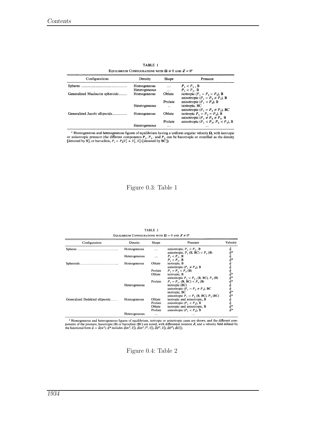| Configurations                  | Density                      | Shape                           | Pressure                                                                                 |
|---------------------------------|------------------------------|---------------------------------|------------------------------------------------------------------------------------------|
|                                 | Homogeneous<br>Heterogeneous |                                 | $P_1 < P_3$ , B<br>$P_1 < P_3$ , B                                                       |
| Generalized Maclaurin spheroids | Homogeneous                  | $\cdots$<br>Oblate              | isotropic $(P_1 = P_2 = P_3)$ , B<br>anisotropic $(P_1 = P_2 \neq P_3)$ , B              |
|                                 | Heterogeneous                | Prolate<br>$\ddot{\phantom{0}}$ | anisotropic $(P_1 < P_3)$ , B<br>isotropic, BC                                           |
| Generalized Jacobi ellipsoids   | Homogeneous                  | Oblate                          | anisotropic ( $P_1 = P_2 \neq P_3$ ), BC<br>isotropic $P_1 = P_2 = P_3$ , B              |
|                                 | Heterogeneous                | Prolate<br>$\cdots$             | anisotropic $(P_1 \neq P_2 \neq P_3, B)$<br>anisotropic $(P_1 < P_2; P_2 < P_3)$ , B<br> |

TABLE 1 EQUILIBRIUM CONFIGURATIONS WITH  $\Omega \neq 0$  and  $Z = 0^{\text{a}}$ 

<sup>a</sup> Homogeneous and heterogeneous figures of equilibrium having a uniform angular velocity  $\Omega$ , with isotropic or anisotropic pressure (the different components  $P_1$ ,  $P_2$ , and  $P_3$  can be barotropic or stratified as

Figure 0.3: Table 1

| Configuration                   | Density       | Shape   | Pressure                                                               | Velocity |
|---------------------------------|---------------|---------|------------------------------------------------------------------------|----------|
| Spheres                         | Homogeneous   | .       | anisotropic, $P_1 < P_3$ , B<br>anisotropic, $P_1$ (B, BC) < $P_3$ (B) |          |
|                                 | Heterogeneous | .       | $P_1 < P_3$ , B<br>$P_1 < P_3$ , B                                     |          |
| Spheroids.                      | Homogeneous   | Oblate  | isotropic, B<br>anisotropic $(P_1 \neq P_3)$ , B                       |          |
|                                 |               | Prolate | $P_1 = P_2 < P_3$ (B)                                                  |          |
|                                 |               | Oblate  | isotropic, B<br>anisotropic $P_1 = P_2$ , (B, BC), $P_3$ (B)           |          |
|                                 |               | Prolate | $P_1 = P_2$ , (B, BC) < $P_3$ (B)                                      |          |
|                                 | Heterogeneous |         | isotropic (BC)<br>anisotropic $(P_1 = P_2 \neq P_3)$ , BC              |          |
|                                 |               |         | isotropic, BC                                                          |          |
|                                 |               |         | anisotropic $P_1 = P_2$ (B, BC), $P_3$ (BC)                            |          |
| Generalized Dedekind ellipsoids | Homogeneous   | Oblate  | isotropic and anisotropic, B                                           |          |
|                                 |               | Prolate | anisotropic $(P_1 < P_3)$ , B                                          |          |
|                                 |               | Oblate  | isotropic and anisotropic, B                                           |          |
|                                 |               | Prolate | anisotropic $(P_1 < P_3)$ , B                                          |          |
|                                 | Heterogeneous | .       | $\cdots$                                                               |          |

TABLE 2 **IDATIONS WITH**  $\mathbf{O} = 0$  **and**  $\mathbf{Z} \neq 0^{\mathsf{a}}$ **FOUR IDDITIN CONTE** 

<sup>a</sup> Homogeneous and heterogeneous figures of equilibrium, isotropic or anisotropic cases are shown, and the different components of the pressure, barotropic (B) or baroclinic (BC) are noted, with differential rotation Z,

Figure 0.4: Table 2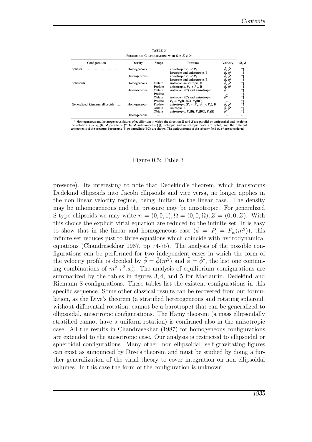| EQUILIBRIUM CONFIGURATIONS WITH $\Omega \neq Z \neq 0^a$ |               |                   |                                                               |                                                                  |              |  |  |
|----------------------------------------------------------|---------------|-------------------|---------------------------------------------------------------|------------------------------------------------------------------|--------------|--|--|
| Configuration                                            | Density       | Shape             | Pressure                                                      | Velocity                                                         | $\Omega$ , Z |  |  |
|                                                          | Homogeneous   | $\cdots$          | anisotropic $P_1 < P_2$ , B<br>isotropic and anisotropic, B   | $\ddot{\phi}^*$<br>Q,                                            |              |  |  |
|                                                          | Heterogeneous | $\cdots$          | anisotropic $P_1 < P_3$ , B<br>isotropic and anisotropic, B   | $\phi^*$<br>ą,<br>, $\phi^*$<br>ę,                               |              |  |  |
| Spheroids                                                | Homogeneous   | Oblate<br>Prolate | isotropic, anisotropic, B<br>anisotropic, $P_1 < P_2$ , B     | $\tilde{\phi}, \tilde{\phi}^*$ $\tilde{\phi}, \tilde{\phi}^*$    |              |  |  |
|                                                          | Heterogeneous | Oblate<br>Prolate | isotropic (BC) and anisotropic                                | $\cdots$                                                         |              |  |  |
|                                                          |               | Oblate<br>Prolate | isotropic (BC) and anisotropic<br>$P_1 = P_2(B, BC), P_3(BC)$ | $\tilde{\phi}^*$                                                 |              |  |  |
| Generalized Riemann ellipsoids                           | Homogeneous   | Prolate<br>Oblate | anisotropic ( $P_1 < P_3$ , $P_2 < P_3$ ), B<br>isotropic, B  | $\tilde{\phi}, \tilde{\phi}^*$<br>$\tilde{\phi}, \tilde{\phi}^*$ |              |  |  |
|                                                          |               | Oblate            | anisotropic, $P_1(B)$ , $P_2(BC)$ , $P_3(B)$                  |                                                                  |              |  |  |
|                                                          | Heterogeneous | $\cdots$          | .                                                             | $\cdots$                                                         | .            |  |  |

TABLE 3

<sup>a</sup> Homogeneous and heterogeneous figures of equilibrium in which the direction  $\Omega$  and **Z** are parallel or antiparallel and lie along<br>the rotation axis  $x_3$  ( $\Omega$ , **Z** parallel =  $\uparrow \uparrow$ ,  $\Omega$ , **Z** antiparallel =

#### Figure 0.5: Table 3

pressure). Its interesting to note that Dedekind's theorem, which transforms Dedekind ellipsoids into Jacobi ellipsoids and vice versa, no longer applies in the non linear velocity regime, being limited to the linear case. The density may be inhomogeneous and the pressure may be anisotropic. For generalized S-type ellipsoids we may write  $n = (0, 0, 1), \Omega = (0, 0, \Omega), Z = (0, 0, Z)$ . With this choice the explicit virial equation are reduced to the infinite set. It is easy to show that in the linear and homogeneous case  $(\tilde{\phi} = P_i = P_{ic}(m^2))$ , this infinite set reduces just to three equations which coincide with hydrodynamical equations (Chandrasekhar 1987, pp 74-75). The analysis of the possible configurations can be performed for two independent cases in which the form of the velocity profile is decided by  $\tilde{\phi} = \tilde{\phi}(m^2)$  and  $\tilde{\phi} = \tilde{\phi}^*$ , the last one containing combinations of  $m^2, r^2, x_3^2$ . The analysis of equilibrium configurations are summarized by the tables in figures 3, 4, and 5 for Maclaurin, Dedekind and Riemann S configurations. These tables list the existent configurations in this specific sequence. Some other classical results can be recovered from our formulation, as the Dive's theorem (a stratified heterogeneous and rotating spheroid, without differential rotation, cannot be a barotrope) that can be generalized to ellipsoidal, anisotropic configurations. The Hamy theorem (a mass ellipsoidally stratified cannot have a uniform rotation) is confirmed also in the anisotropic case. All the results in Chandrasekhar (1987) for homogeneous configurations are extended to the anisotropic case. Our analysis is restricted to ellipsoidal or spheroidal configurations. Many other, non ellipsoidal, self-gravitating figures can exist as announced by Dive's theorem and must be studied by doing a further generalization of the virial theory to cover integration on non ellipsoidal volumes. In this case the form of the configuration is unknown.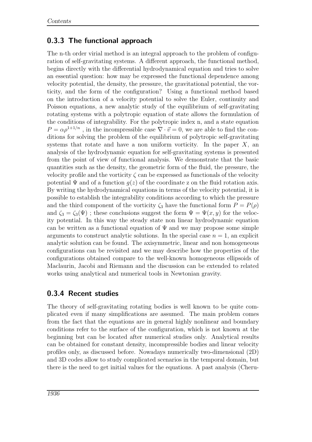#### <span id="page-13-0"></span>0.3.3 The functional approach

The n-th order virial method is an integral approach to the problem of configuration of self-gravitating systems. A different approach, the functional method, begins directly with the differential hydrodynamical equation and tries to solve an essential question: how may be expressed the functional dependence among velocity potential, the density, the pressure, the gravitational potential, the vorticity, and the form of the configuration? Using a functional method based on the introduction of a velocity potential to solve the Euler, continuity and Poisson equations, a new analytic study of the equilibrium of self-gravitating rotating systems with a polytropic equation of state allows the formulation of the conditions of integrability. For the polytropic index n, and a state equation  $P = \alpha \rho^{1+1/n}$ , in the incompressible case  $\nabla \cdot \vec{v} = 0$ , we are able to find the conditions for solving the problem of the equilibrium of polytropic self-gravitating systems that rotate and have a non uniform vorticity. In the paper  $X$ , an analysis of the hydrodynamic equation for self-gravitating systems is presented from the point of view of functional analysis. We demonstrate that the basic quantities such as the density, the geometric form of the fluid, the pressure, the velocity profile and the vorticity  $\zeta$  can be expressed as functionals of the velocity potential  $\Psi$  and of a function  $q(z)$  of the coordinate z on the fluid rotation axis. By writing the hydrodynamical equations in terms of the velocity potential, it is possible to establish the integrability conditions according to which the pressure and the third component of the vorticity  $\zeta_3$  have the functional form  $P = P(\rho)$ and  $\zeta_3 = \zeta_3(\Psi)$ ; these conclusions suggest the form  $\Psi = \Psi(x, y)$  for the velocity potential. In this way the steady state non linear hydrodynamic equation can be written as a functional equation of  $\Psi$  and we may propose some simple arguments to construct analytic solutions. In the special case  $n = 1$ , an explicit analytic solution can be found. The axisymmetric, linear and non homogeneous configurations can be revisited and we may describe how the properties of the configurations obtained compare to the well-known homogeneous ellipsoids of Maclaurin, Jacobi and Riemann and the discussion can be extended to related works using analytical and numerical tools in Newtonian gravity.

#### <span id="page-13-1"></span>0.3.4 Recent studies

The theory of self-gravitating rotating bodies is well known to be quite complicated even if many simplifications are assumed. The main problem comes from the fact that the equations are in general highly nonlinear and boundary conditions refer to the surface of the configuration, which is not known at the beginning but can be located after numerical studies only. Analytical results can be obtained for constant density, incompressible bodies and linear velocity profiles only, as discussed before. Nowadays numerically two-dimensional (2D) and 3D codes allow to study complicated scenarios in the temporal domain, but there is the need to get initial values for the equations. A past analysis (Cheru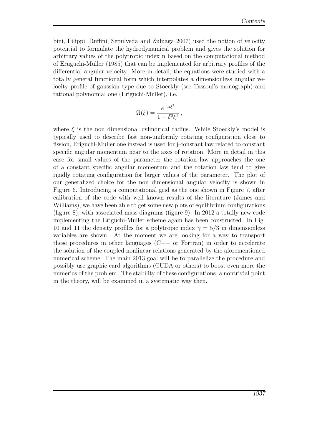bini, Filippi, Ruffini, Sepulveda and Zuluaga 2007) used the notion of velocity potential to formulate the hydrodynamical problem and gives the solution for arbitrary values of the polytropic index n based on the computational method of Eruguchi-Muller (1985) that can be implemented for arbitrary profiles of the differential angular velocity. More in detail, the equations were studied with a totally general functional form which interpolates a dimensionless angular velocity profile of gaussian type due to Stoeckly (see Tassoul's monograph) and rational polynomial one (Eriguchi-Muller), i.e.

$$
\tilde{\Omega}(\xi) = \frac{e^{-\alpha \xi^2}}{1 + \delta^2 \xi^2},
$$

where  $\xi$  is the non dimensional cylindrical radius. While Stoeckly's model is typically used to describe fast non-uniformly rotating configuration close to fission, Eriguchi-Muller one instead is used for j-constant law related to constant specific angular momentum near to the axes of rotation. More in detail in this case for small values of the parameter the rotation law approaches the one of a constant specific angular momentum and the rotation law tend to give rigidly rotating configuration for larger values of the parameter. The plot of our generalized choice for the non dimensional angular velocity is shown in Figure 6. Introducing a computational grid as the one shown in Figure 7, after calibration of the code with well known results of the literature (James and Williams), we have been able to get some new plots of equilibrium configurations (figure 8), with associated mass diagrams (figure 9). In 2012 a totally new code implementing the Eriguchi-Muller scheme again has been constructed. In Fig. 10 and 11 the density profiles for a polytropic index  $\gamma = 5/3$  in dimensionless variables are shown. At the moment we are looking for a way to transport these procedures in other languages  $(C++$  or Fortran) in order to accelerate the solution of the coupled nonlinear relations generated by the aforementioned numerical scheme. The main 2013 goal will be to parallelize the procedure and possibly use graphic card algorithms (CUDA or others) to boost even more the numerics of the problem. The stability of these configurations, a nontrivial point in the theory, will be examined in a systematic way then.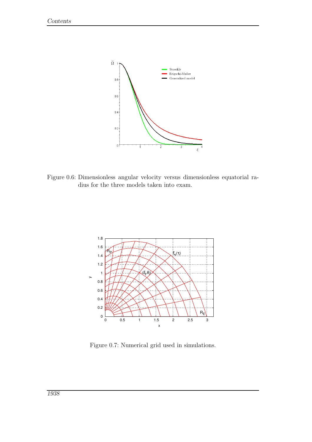

Figure 0.6: Dimensionless angular velocity versus dimensionless equatorial radius for the three models taken into exam.



Figure 0.7: Numerical grid used in simulations.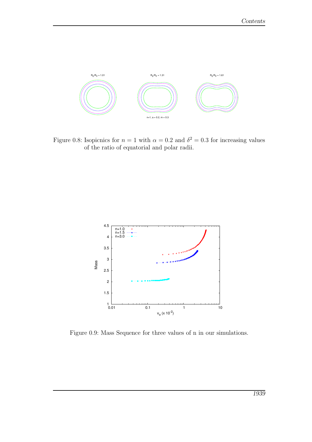

Figure 0.8: Isopicnics for  $n = 1$  with  $\alpha = 0.2$  and  $\delta^2 = 0.3$  for increasing values of the ratio of equatorial and polar radii.



Figure 0.9: Mass Sequence for three values of n in our simulations.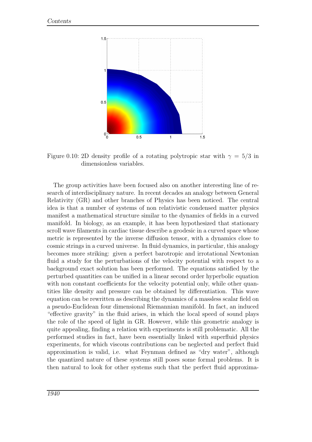

Figure 0.10: 2D density profile of a rotating polytropic star with  $\gamma = 5/3$  in dimensionless variables.

The group activities have been focused also on another interesting line of research of interdisciplinary nature. In recent decades an analogy between General Relativity (GR) and other branches of Physics has been noticed. The central idea is that a number of systems of non relativistic condensed matter physics manifest a mathematical structure similar to the dynamics of fields in a curved manifold. In biology, as an example, it has been hypothesized that stationary scroll wave filaments in cardiac tissue describe a geodesic in a curved space whose metric is represented by the inverse diffusion tensor, with a dynamics close to cosmic strings in a curved universe. In fluid dynamics, in particular, this analogy becomes more striking: given a perfect barotropic and irrotational Newtonian fluid a study for the perturbations of the velocity potential with respect to a background exact solution has been performed. The equations satisfied by the perturbed quantities can be unified in a linear second order hyperbolic equation with non constant coefficients for the velocity potential only, while other quantities like density and pressure can be obtained by differentiation. This wave equation can be rewritten as describing the dynamics of a massless scalar field on a pseudo-Euclidean four dimensional Riemannian manifold. In fact, an induced "effective gravity" in the fluid arises, in which the local speed of sound plays the role of the speed of light in GR. However, while this geometric analogy is quite appealing, finding a relation with experiments is still problematic. All the performed studies in fact, have been essentially linked with superfluid physics experiments, for which viscous contributions can be neglected and perfect fluid approximation is valid, i.e. what Feynman defined as "dry water", although the quantized nature of these systems still poses some formal problems. It is then natural to look for other systems such that the perfect fluid approxima-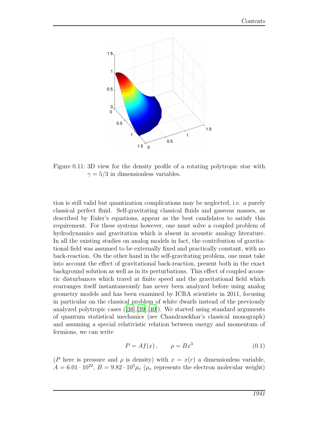

Figure 0.11: 3D view for the density profile of a rotating polytropic star with  $\gamma = 5/3$  in dimensionless variables.

tion is still valid but quantization complications may be neglected, i.e. a purely classical perfect fluid. Self-gravitating classical fluids and gaseous masses, as described by Euler's equations, appear as the best candidates to satisfy this requirement. For these systems however, one must solve a coupled problem of hydrodynamics and gravitation which is absent in acoustic analogy literature. In all the existing studies on analog models in fact, the contribution of gravitational field was assumed to be externally fixed and practically constant, with no back-reaction. On the other hand in the self-gravitating problem, one must take into account the effect of gravitational back-reaction, present both in the exact background solution as well as in its perturbations. This effect of coupled acoustic disturbances which travel at finite speed and the gravitational field which rearranges itself instantaneously has never been analyzed before using analog geometry models and has been examined by ICRA scientists in 2011, focusing in particular on the classical problem of white dwarfs instead of the previously analyzed polytropic cases ([\[38\]](#page-28-0),[\[39\]](#page-28-1),[\[40](#page-28-2)]). We started using standard arguments of quantum statistical mechanics (see Chandrasekhar's classical monograph) and assuming a special relativistic relation between energy and momentum of fermions, we can write

$$
P = Af(x), \qquad \rho = Bx^3 \tag{0.1}
$$

(P here is pressure and  $\rho$  is density) with  $x = x(r)$  a dimensionless variable,  $A = 6.01 \cdot 10^{22}, B = 9.82 \cdot 10^{5} \mu_e$  ( $\mu_e$  represents the electron molecular weight)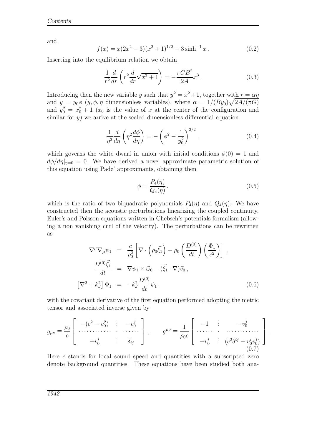and

$$
f(x) = x(2x^{2} - 3)(x^{2} + 1)^{1/2} + 3\sinh^{-1} x.
$$
 (0.2)

Inserting into the equilibrium relation we obtain

$$
\frac{1}{r^2}\frac{d}{dr}\left(r^2\frac{d}{dr}\sqrt{x^2+1}\right) = -\frac{\pi GB^2}{2A}x^3.
$$
\n(0.3)

Introducing then the new variable y such that  $y^2 = x^2 + 1$ , together with  $r = \alpha \eta$ and  $y = y_0 \phi \ (y, \phi, \eta \text{ dimensionless variables})$ , where  $\alpha = 1/(By_0)\sqrt{2A/(\pi G)}$ and  $y_0^2 = x_0^2 + 1$  ( $x_0$  is the value of x at the center of the configuration and similar for  $y$ ) we arrive at the scaled dimensionless differential equation

$$
\frac{1}{\eta^2}\frac{d}{d\eta}\left(\eta^2\frac{d\phi}{d\eta}\right) = -\left(\phi^2 - \frac{1}{y_0^2}\right)^{3/2},\qquad(0.4)
$$

which governs the white dwarf in union with initial conditions  $\phi(0) = 1$  and  $d\phi/d\eta|_{\eta=0} = 0$ . We have derived a novel approximate parametric solution of this equation using Pade' approximants, obtaining then

$$
\phi = \frac{P_4(\eta)}{Q_4(\eta)}.\tag{0.5}
$$

which is the ratio of two biquadratic polynomials  $P_4(\eta)$  and  $Q_4(\eta)$ . We have constructed then the acoustic perturbations linearizing the coupled continuity, Euler's and Poisson equations written in Chebsch's potentials formalism (allowing a non vanishing curl of the velocity). The perturbations can be rewritten as

$$
\nabla^{\mu}\nabla_{\mu}\psi_{1} = \frac{c}{\rho_{0}^{2}} \left[ \nabla \cdot \left( \rho_{0}\vec{\xi}_{1} \right) - \rho_{0} \left( \frac{D^{(0)}}{dt} \right) \left( \frac{\Phi_{1}}{c^{2}} \right) \right],
$$
  
\n
$$
\frac{D^{(0)}\vec{\xi}_{1}}{dt} = \nabla \psi_{1} \times \vec{\omega}_{0} - (\vec{\xi}_{1} \cdot \nabla) \vec{v}_{0},
$$
  
\n
$$
\left[ \nabla^{2} + k_{J}^{2} \right] \Phi_{1} = -k_{J}^{2} \frac{D^{(0)}}{dt} \psi_{1}.
$$
\n(0.6)

with the covariant derivative of the first equation performed adopting the metric tensor and associated inverse given by

$$
g_{\mu\nu} \equiv \frac{\rho_0}{c} \left[ \begin{array}{ccc} -(c^2 - v_0^2) & \vdots & -v_0^j \\ \cdots & \cdots & \cdots & \cdots \\ -v_0^i & \vdots & \delta_{ij} \end{array} \right], \qquad g^{\mu\nu} \equiv \frac{1}{\rho_0 c} \left[ \begin{array}{ccc} -1 & \vdots & -v_0^j \\ \cdots & \cdots & \cdots & \cdots \\ -v_0^i & \vdots & (c^2 \delta^{ij} - v_0^i v_0^j) \end{array} \right].
$$
 (0.7)

Here c stands for local sound speed and quantities with a subscripted zero denote background quantities. These equations have been studied both ana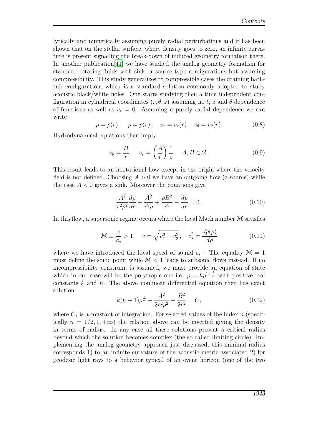lytically and numerically assuming purely radial perturbations and it has been shown that on the stellar surface, where density goes to zero, an infinite curvature is present signalling the break-down of induced geometry formalism there. In another publication[\[41](#page-28-3)] we have studied the analog geometry formalism for standard rotating fluids with sink or source type configurations but assuming compressibility. This study generalizes to compressible cases the draining bathtub configuration, which is a standard solution commonly adopted to study acoustic black/white holes. One starts studying then a time independent configuration in cylindrical coordinates  $(r, \theta, z)$  assuming no t, z and  $\theta$  dependence of functions as well as  $v_z = 0$ . Assuming a purely radial dependence we can write

$$
\rho = \rho(r), \quad p = p(r), \quad v_r = v_r(r) \quad v_\theta = v_\theta(r).
$$
\n(0.8)

Hydrodynamical equations then imply

$$
v_{\theta} = \frac{B}{r}, \quad v_r = \left(\frac{A}{r}\right) \frac{1}{\rho}, \quad A, B \in \mathcal{R}.
$$
 (0.9)

This result leads to an irrotational flow except in the origin where the velocity field is not defined. Choosing  $A > 0$  we have an outgoing flow (a source) while the case  $A < 0$  gives a sink. Moreover the equations give

$$
\frac{A^2}{r^2 \rho^2} \frac{d\rho}{dr} + \frac{A^2}{r^3 \rho} + \frac{\rho B^2}{r^3} - \frac{dp}{dr} = 0.
$$
 (0.10)

In this flow, a supersonic regime occurs where the local Mach number M satisfies

$$
\mathcal{M} \equiv \frac{v}{c_s} > 1, \quad v = \sqrt{v_r^2 + v_\theta^2}, \quad c_s^2 = \frac{dp(\rho)}{d\rho}
$$
(0.11)

where we have introduced the local speed of sound  $c_s$ . The equality  $\mathcal{M} = 1$ must define the sonic point while  $\mathcal{M} < 1$  leads to subsonic flows instead. If no incompressibility constraint is assumed, we must provide an equation of state which in our case will be the polytropic one i.e.  $p = k\rho^{1+\frac{1}{n}}$  with positive real constants  $k$  and  $n$ . The above nonlinear differential equation then has exact solution

$$
k(n+1)\rho^{\frac{1}{n}} + \frac{A^2}{2r^2\rho^2} + \frac{B^2}{2r^2} = C_1
$$
\n(0.12)

where  $C_1$  is a constant of integration. For selected values of the index n (specifically  $n = 1/2, 1, +\infty$  the relation above can be inverted giving the density in terms of radius. In any case all these solutions present a critical radius beyond which the solution becomes complex (the so called limiting circle). Implementing the analog geometry approach just discussed, this minimal radius corresponds 1) to an infinite curvature of the acoustic metric associated 2) for geodesic light rays to a behavior typical of an event horizon (one of the two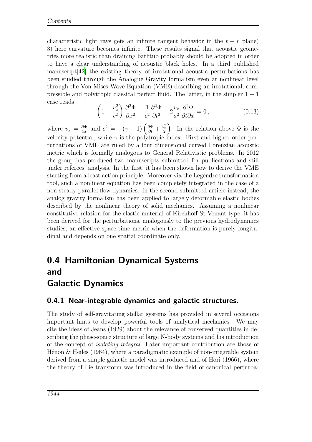characteristic light rays gets an infinite tangent behavior in the  $t - r$  plane) 3) here curvature becomes infinite. These results signal that acoustic geometries more realistic than draining bathtub probably should be adopted in order to have a clear understanding of acoustic black holes. In a third published manuscript[\[42\]](#page-28-4) the existing theory of irrotational acoustic perturbations has been studied through the Analogue Gravity formalism even at nonlinear level through the Von Mises Wave Equation (VME) describing an irrotational, compressible and polytropic classical perfect fluid. The latter, in the simpler  $1 + 1$ case reads

$$
\left(1 - \frac{v_x^2}{c^2}\right) \frac{\partial^2 \Phi}{\partial x^2} - \frac{1}{c^2} \frac{\partial^2 \Phi}{\partial t^2} - 2\frac{v_x}{a^2} \frac{\partial^2 \Phi}{\partial t \partial x} = 0, \tag{0.13}
$$

where  $v_x = \frac{\partial \Phi}{\partial x}$  and  $c^2 = -(\gamma - 1) \left( \frac{\partial \Phi}{\partial t} + \frac{v_x^2}{2} \right)$ . In the relation above  $\Phi$  is the velocity potential, while  $\gamma$  is the polytropic index. First and higher order perturbations of VME are ruled by a four dimensional curved Lorenzian acoustic metric which is formally analogous to General Relativistic problems. In 2012 the group has produced two manuscripts submitted for publications and still under referees' analysis. In the first, it has been shown how to derive the VME starting from a least action principle. Moreover via the Legendre transformation tool, such a nonlinear equation has been completely integrated in the case of a non steady parallel flow dynamics. In the second submitted article instead, the analog gravity formalism has been applied to largely deformable elastic bodies described by the nonlinear theory of solid mechanics. Assuming a nonlinear constitutive relation for the elastic material of Kirchhoff-St Venant type, it has been derived for the perturbations, analogously to the previous hydrodynamics studies, an effective space-time metric when the deformation is purely longitudinal and depends on one spatial coordinate only.

### <span id="page-21-0"></span>0.4 Hamiltonian Dynamical Systems and Galactic Dynamics

#### <span id="page-21-1"></span>0.4.1 Near-integrable dynamics and galactic structures.

The study of self-gravitating stellar systems has provided in several occasions important hints to develop powerful tools of analytical mechanics. We may cite the ideas of Jeans (1929) about the relevance of conserved quantities in describing the phase-space structure of large N-body systems and his introduction of the concept of isolating integral. Later important contribution are those of Hénon  $\&$  Heiles (1964), where a paradigmatic example of non-integrable system derived from a simple galactic model was introduced and of Hori (1966), where the theory of Lie transform was introduced in the field of canonical perturba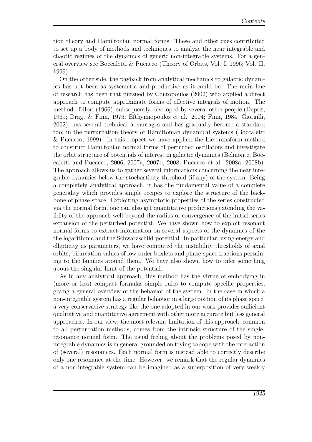tion theory and Hamiltonian normal forms. These and other cues contributed to set up a body of methods and techniques to analyze the near integrable and chaotic regimes of the dynamics of generic non-integrable systems. For a general overview see Boccaletti & Pucacco (Theory of Orbits, Vol. I, 1996; Vol. II, 1999).

On the other side, the payback from analytical mechanics to galactic dynamics has not been as systematic and productive as it could be. The main line of research has been that pursued by Contopoulos (2002) who applied a direct approach to compute approximate forms of effective integrals of motion. The method of Hori (1966), subsequently developed by several other people (Deprit, 1969; Dragt & Finn, 1976; Efthymiopoulos et al. 2004; Finn, 1984; Giorgilli, 2002), has several technical advantages and has gradually become a standard tool in the perturbation theory of Hamiltonian dynamical systems (Boccaletti & Pucacco, 1999). In this respect we have applied the Lie transform method to construct Hamiltonian normal forms of perturbed oscillators and investigate the orbit structure of potentials of interest in galactic dynamics (Belmonte, Boccaletti and Pucacco, 2006, 2007a, 2007b, 2008; Pucacco et al. 2008a, 2008b). The approach allows us to gather several informations concerning the near integrable dynamics below the stochasticity threshold (if any) of the system. Being a completely analytical approach, it has the fundamental value of a complete generality which provides simple recipes to explore the structure of the backbone of phase-space. Exploiting asymptotic properties of the series constructed via the normal form, one can also get quantitative predictions extending the validity of the approach well beyond the radius of convergence of the initial series expansion of the perturbed potential. We have shown how to exploit resonant normal forms to extract information on several aspects of the dynamics of the the logarithmic and the Schwarzschild potential. In particular, using energy and ellipticity as parameters, we have computed the instability thresholds of axial orbits, bifurcation values of low-order boxlets and phase-space fractions pertaining to the families around them. We have also shown how to infer something about the singular limit of the potential.

As in any analytical approach, this method has the virtue of embodying in (more or less) compact formulas simple rules to compute specific properties, giving a general overview of the behavior of the system. In the case in which a non-integrable system has a regular behavior in a large portion of its phase space, a very conservative strategy like the one adopted in our work provides sufficient qualitative and quantitative agreement with other more accurate but less general approaches. In our view, the most relevant limitation of this approach, common to all perturbation methods, comes from the intrinsic structure of the singleresonance normal form. The usual feeling about the problems posed by nonintegrable dynamics is in general grounded on trying to cope with the interaction of (several) resonances. Each normal form is instead able to correctly describe only one resonance at the time. However, we remark that the regular dynamics of a non-integrable system can be imagined as a superposition of very weakly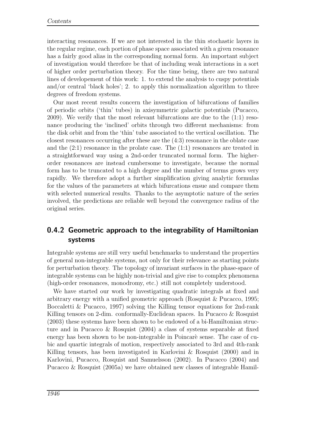interacting resonances. If we are not interested in the thin stochastic layers in the regular regime, each portion of phase space associated with a given resonance has a fairly good alias in the corresponding normal form. An important subject of investigation would therefore be that of including weak interactions in a sort of higher order perturbation theory. For the time being, there are two natural lines of developement of this work: 1. to extend the analysis to cuspy potentials and/or central 'black holes'; 2. to apply this normalization algorithm to three degrees of freedom systems.

Our most recent results concern the investigation of bifurcations of families of periodic orbits ('thin' tubes) in axisymmetric galactic potentials (Pucacco, 2009). We verify that the most relevant bifurcations are due to the (1:1) resonance producing the 'inclined' orbits through two different mechanisms: from the disk orbit and from the 'thin' tube associated to the vertical oscillation. The closest resonances occurring after these are the (4:3) resonance in the oblate case and the (2:1) resonance in the prolate case. The (1:1) resonances are treated in a straightforward way using a 2nd-order truncated normal form. The higherorder resonances are instead cumbersome to investigate, because the normal form has to be truncated to a high degree and the number of terms grows very rapidly. We therefore adopt a further simplification giving analytic formulas for the values of the parameters at which bifurcations ensue and compare them with selected numerical results. Thanks to the asymptotic nature of the series involved, the predictions are reliable well beyond the convergence radius of the original series.

### <span id="page-23-0"></span>0.4.2 Geometric approach to the integrability of Hamiltonian systems

Integrable systems are still very useful benchmarks to understand the properties of general non-integrable systems, not only for their relevance as starting points for perturbation theory. The topology of invariant surfaces in the phase-space of integrable systems can be highly non-trivial and give rise to complex phenomena (high-order resonances, monodromy, etc.) still not completely understood.

We have started our work by investigating quadratic integrals at fixed and arbitrary energy with a unified geometric approach (Rosquist & Pucacco, 1995; Boccaletti & Pucacco, 1997) solving the Killing tensor equations for 2nd-rank Killing tensors on 2-dim. conformally-Euclidean spaces. In Pucacco & Rosquist (2003) these systems have been shown to be endowed of a bi-Hamiltonian structure and in Pucacco & Rosquist (2004) a class of systems separable at fixed energy has been shown to be non-integrable in Poincaré sense. The case of cubic and quartic integrals of motion, respectively associated to 3rd and 4th-rank Killing tensors, has been investigated in Karlovini & Rosquist (2000) and in Karlovini, Pucacco, Rosquist and Samuelsson (2002). In Pucacco (2004) and Pucacco & Rosquist (2005a) we have obtained new classes of integrable Hamil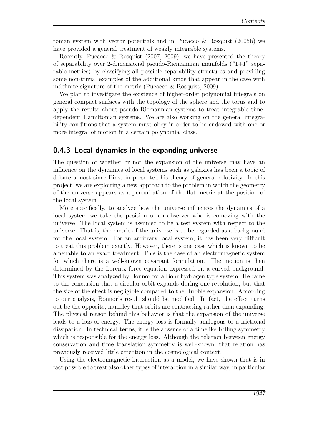tonian system with vector potentials and in Pucacco & Rosquist (2005b) we have provided a general treatment of weakly integrable systems.

Recently, Pucacco & Rosquist (2007, 2009), we have presented the theory of separability over 2-dimensional pseudo-Riemannian manifolds  $(4+1)$ " separable metrics) by classifying all possible separability structures and providing some non-trivial examples of the additional kinds that appear in the case with indefinite signature of the metric (Pucacco & Rosquist, 2009).

We plan to investigate the existence of higher-order polynomial integrals on general compact surfaces with the topology of the sphere and the torus and to apply the results about pseudo-Riemannian systems to treat integrable timedependent Hamiltonian systems. We are also working on the general integrability conditions that a system must obey in order to be endowed with one or more integral of motion in a certain polynomial class.

#### <span id="page-24-0"></span>0.4.3 Local dynamics in the expanding universe

The question of whether or not the expansion of the universe may have an influence on the dynamics of local systems such as galaxies has been a topic of debate almost since Einstein presented his theory of general relativity. In this project, we are exploiting a new approach to the problem in which the geometry of the universe appears as a perturbation of the flat metric at the position of the local system.

More specifically, to analyze how the universe influences the dynamics of a local system we take the position of an observer who is comoving with the universe. The local system is assumed to be a test system with respect to the universe. That is, the metric of the universe is to be regarded as a background for the local system. For an arbitrary local system, it has been very difficult to treat this problem exactly. However, there is one case which is known to be amenable to an exact treatment. This is the case of an electromagnetic system for which there is a well-known covariant formulation. The motion is then determined by the Lorentz force equation expressed on a curved background. This system was analyzed by Bonnor for a Bohr hydrogen type system. He came to the conclusion that a circular orbit expands during one revolution, but that the size of the effect is negligible compared to the Hubble expansion. According to our analysis, Bonnor's result should be modified. In fact, the effect turns out be the opposite, nameley that orbits are contracting rather than expanding. The physical reason behind this behavior is that the expansion of the universe leads to a loss of energy. The energy loss is formally analogous to a frictional dissipation. In technical terms, it is the absence of a timelike Killing symmetry which is responsible for the energy loss. Although the relation between energy conservation and time translation symmetry is well-known, that relation has previously received little attention in the cosmological context.

Using the electromagnetic interaction as a model, we have shown that is in fact possible to treat also other types of interaction in a similar way, in particular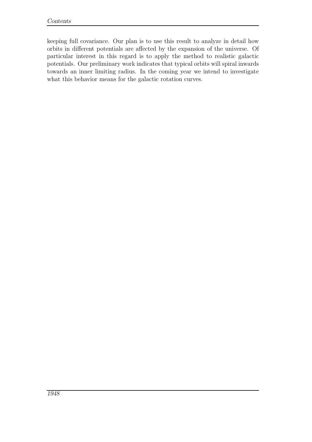keeping full covariance. Our plan is to use this result to analyze in detail how orbits in different potentials are affected by the expansion of the universe. Of particular interest in this regard is to apply the method to realistic galactic potentials. Our preliminary work indicates that typical orbits will spiral inwards towards an inner limiting radius. In the coming year we intend to investigate what this behavior means for the galactic rotation curves.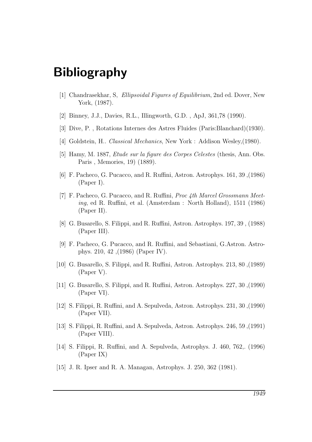# <span id="page-26-0"></span>Bibliography

- [1] Chandrasekhar, S, Ellipsoidal Figures of Equilibrium, 2nd ed. Dover, New York, (1987).
- [2] Binney, J.J., Davies, R.L., Illingworth, G.D. , ApJ, 361,78 (1990).
- [3] Dive, P. , Rotations Internes des Astres Fluides (Paris:Blanchard)(1930).
- [4] Goldstein, H.. Classical Mechanics, New York : Addison Wesley,(1980).
- [5] Hamy, M. 1887, Etude sur la figure des Corpes Celestes (thesis, Ann. Obs. Paris , Memories, 19) (1889).
- [6] F. Pacheco, G. Pucacco, and R. Ruffini, Astron. Astrophys. 161, 39 ,(1986) (Paper I).
- [7] F. Pacheco, G. Pucacco, and R. Ruffini, Proc 4th Marcel Grossmann Meeting, ed R. Ruffini, et al. (Amsterdam : North Holland), 1511 (1986) (Paper II).
- [8] G. Busarello, S. Filippi, and R. Ruffini, Astron. Astrophys. 197, 39 , (1988) (Paper III).
- [9] F. Pacheco, G. Pucacco, and R. Ruffini, and Sebastiani, G.Astron. Astrophys. 210, 42 ,(1986) (Paper IV).
- [10] G. Busarello, S. Filippi, and R. Ruffini, Astron. Astrophys. 213, 80 ,(1989) (Paper V).
- [11] G. Busarello, S. Filippi, and R. Ruffini, Astron. Astrophys. 227, 30 ,(1990) (Paper VI).
- [12] S. Filippi, R. Ruffini, and A. Sepulveda, Astron. Astrophys. 231, 30 ,(1990) (Paper VII).
- [13] S. Filippi, R. Ruffini, and A. Sepulveda, Astron. Astrophys. 246, 59 ,(1991) (Paper VIII).
- [14] S. Filippi, R. Ruffini, and A. Sepulveda, Astrophys. J. 460, 762,. (1996) (Paper IX)
- [15] J. R. Ipser and R. A. Managan, Astrophys. J. 250, 362 (1981).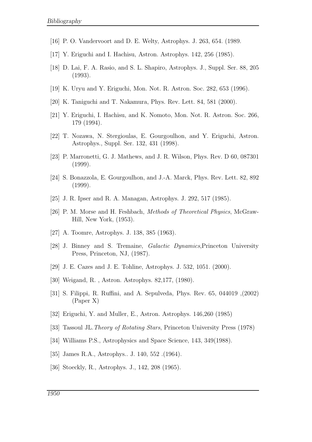- [16] P. O. Vandervoort and D. E. Welty, Astrophys. J. 263, 654. (1989.
- [17] Y. Eriguchi and I. Hachisu, Astron. Astrophys. 142, 256 (1985).
- [18] D. Lai, F. A. Rasio, and S. L. Shapiro, Astrophys. J., Suppl. Ser. 88, 205 (1993).
- [19] K. Uryu and Y. Eriguchi, Mon. Not. R. Astron. Soc. 282, 653 (1996).
- [20] K. Taniguchi and T. Nakamura, Phys. Rev. Lett. 84, 581 (2000).
- [21] Y. Eriguchi, I. Hachisu, and K. Nomoto, Mon. Not. R. Astron. Soc. 266, 179 (1994).
- [22] T. Nozawa, N. Stergioulas, E. Gourgoulhon, and Y. Eriguchi, Astron. Astrophys., Suppl. Ser. 132, 431 (1998).
- [23] P. Marronetti, G. J. Mathews, and J. R. Wilson, Phys. Rev. D 60, 087301 (1999).
- [24] S. Bonazzola, E. Gourgoulhon, and J.-A. Marck, Phys. Rev. Lett. 82, 892 (1999).
- [25] J. R. Ipser and R. A. Managan, Astrophys. J. 292, 517 (1985).
- [26] P. M. Morse and H. Feshbach, Methods of Theoretical Physics, McGraw-Hill, New York, (1953).
- [27] A. Toomre, Astrophys. J. 138, 385 (1963).
- [28] J. Binney and S. Tremaine, Galactic Dynamics,Princeton University Press, Princeton, NJ, (1987).
- [29] J. E. Cazes and J. E. Tohline, Astrophys. J. 532, 1051. (2000).
- [30] Weigand, R. , Astron. Astrophys. 82,177, (1980).
- [31] S. Filippi, R. Ruffini, and A. Sepulveda, Phys. Rev. 65, 044019 ,(2002) (Paper X)
- [32] Eriguchi, Y. and Muller, E., Astron. Astrophys. 146,260 (1985)
- [33] Tassoul JL.Theory of Rotating Stars, Princeton University Press (1978)
- [34] Williams P.S., Astrophysics and Space Science, 143, 349(1988).
- [35] James R.A., Astrophys.. J. 140, 552 .(1964).
- [36] Stoeckly, R., Astrophys. J., 142, 208 (1965).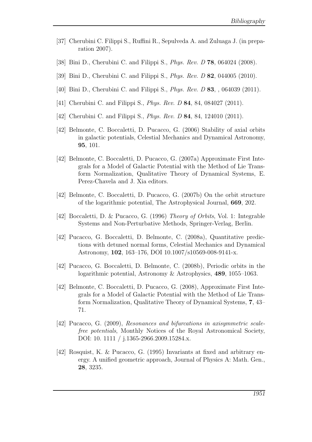- [37] Cherubini C. Filippi S., Ruffini R., Sepulveda A. and Zuluaga J. (in preparation 2007).
- <span id="page-28-0"></span>[38] Bini D., Cherubini C. and Filippi S., *Phys. Rev. D* **78**, 064024 (2008).
- <span id="page-28-1"></span>[39] Bini D., Cherubini C. and Filippi S., Phys. Rev. D 82, 044005 (2010).
- <span id="page-28-2"></span>[40] Bini D., Cherubini C. and Filippi S., *Phys. Rev. D* 83, , 064039 (2011).
- <span id="page-28-3"></span>[41] Cherubini C. and Filippi S., *Phys. Rev. D* **84**, 84, 084027 (2011).
- <span id="page-28-4"></span>[42] Cherubini C. and Filippi S., *Phys. Rev. D* **84**, 84, 124010 (2011).
- [42] Belmonte, C. Boccaletti, D. Pucacco, G. (2006) Stability of axial orbits in galactic potentials, Celestial Mechanics and Dynamical Astronomy, 95, 101.
- [42] Belmonte, C. Boccaletti, D. Pucacco, G. (2007a) Approximate First Integrals for a Model of Galactic Potential with the Method of Lie Transform Normalization, Qualitative Theory of Dynamical Systems, E. Perez-Chavela and J. Xia editors.
- [42] Belmonte, C. Boccaletti, D. Pucacco, G. (2007b) On the orbit structure of the logarithmic potential, The Astrophysical Journal, 669, 202.
- [42] Boccaletti, D. & Pucacco, G. (1996) Theory of Orbits, Vol. 1: Integrable Systems and Non-Perturbative Methods, Springer-Verlag, Berlin.
- [42] Pucacco, G. Boccaletti, D. Belmonte, C. (2008a), Quantitative predictions with detuned normal forms, Celestial Mechanics and Dynamical Astronomy, 102, 163–176, DOI 10.1007/s10569-008-9141-x.
- [42] Pucacco, G. Boccaletti, D. Belmonte, C. (2008b), Periodic orbits in the logarithmic potential, Astronomy & Astrophysics, 489, 1055–1063.
- [42] Belmonte, C. Boccaletti, D. Pucacco, G. (2008), Approximate First Integrals for a Model of Galactic Potential with the Method of Lie Transform Normalization, Qualitative Theory of Dynamical Systems, 7, 43– 71.
- [42] Pucacco, G. (2009), Resonances and bifurcations in axisymmetric scalefree potentials, Monthly Notices of the Royal Astronomical Society, DOI: 10. 1111 / j.1365-2966.2009.15284.x.
- [42] Rosquist, K. & Pucacco, G. (1995) Invariants at fixed and arbitrary energy. A unified geometric approach, Journal of Physics A: Math. Gen., 28, 3235.